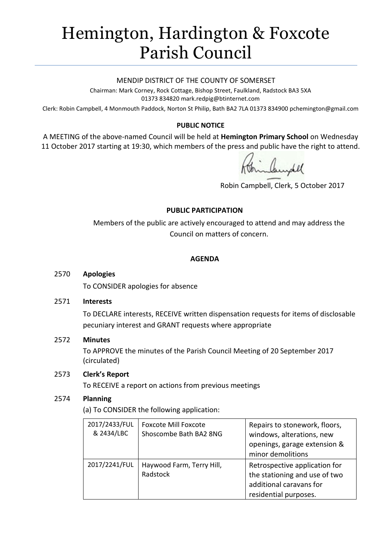# Hemington, Hardington & Foxcote Parish Council

#### MENDIP DISTRICT OF THE COUNTY OF SOMERSET

Chairman: Mark Corney, Rock Cottage, Bishop Street, Faulkland, Radstock BA3 5XA 01373 834820 mark.redpig@btinternet.com

Clerk: Robin Campbell, 4 Monmouth Paddock, Norton St Philip, Bath BA2 7LA 01373 834900 [pchemington@gmail.com](mailto:pchemington@gmail.com)

## **PUBLIC NOTICE**

A MEETING of the above-named Council will be held at **Hemington Primary School** on Wednesday 11 October 2017 starting at 19:30, which members of the press and public have the right to attend.

Robin Campbell, Clerk, 5 October 2017

## **PUBLIC PARTICIPATION**

Members of the public are actively encouraged to attend and may address the Council on matters of concern.

#### **AGENDA**

#### 2570 **Apologies**

To CONSIDER apologies for absence

#### 2571 **Interests**

To DECLARE interests, RECEIVE written dispensation requests for items of disclosable pecuniary interest and GRANT requests where appropriate

## 2572 **Minutes**

To APPROVE the minutes of the Parish Council Meeting of 20 September 2017 (circulated)

## 2573 **Clerk's Report**

To RECEIVE a report on actions from previous meetings

## 2574 **Planning**

(a) To CONSIDER the following application:

| 2017/2433/FUL<br>& 2434/LBC | <b>Foxcote Mill Foxcote</b><br>Shoscombe Bath BA2 8NG | Repairs to stonework, floors,<br>windows, alterations, new<br>openings, garage extension &<br>minor demolitions    |
|-----------------------------|-------------------------------------------------------|--------------------------------------------------------------------------------------------------------------------|
| 2017/2241/FUL               | Haywood Farm, Terry Hill,<br>Radstock                 | Retrospective application for<br>the stationing and use of two<br>additional caravans for<br>residential purposes. |